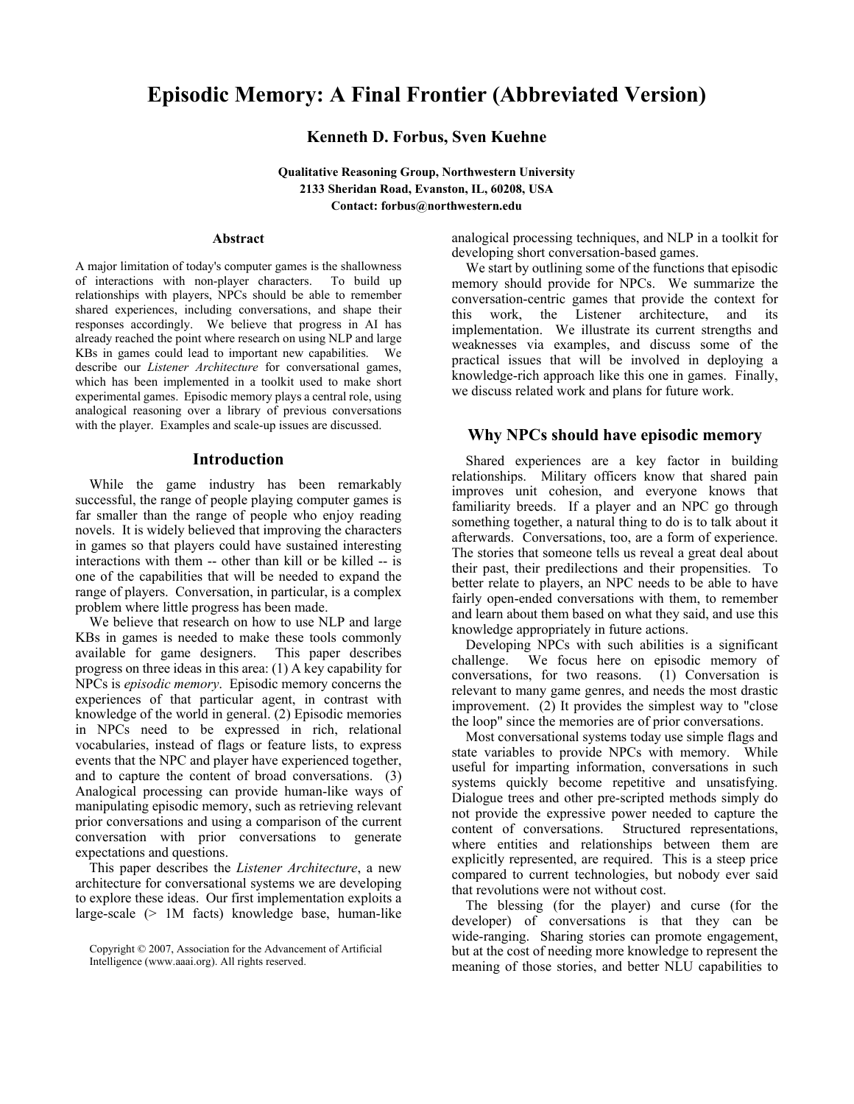# **Episodic Memory: A Final Frontier (Abbreviated Version)**

## **Kenneth D. Forbus, Sven Kuehne**

**Qualitative Reasoning Group, Northwestern University 2133 Sheridan Road, Evanston, IL, 60208, USA Contact: forbus@northwestern.edu** 

#### **Abstract**

A major limitation of today's computer games is the shallowness of interactions with non-player characters. To build up relationships with players, NPCs should be able to remember shared experiences, including conversations, and shape their responses accordingly. We believe that progress in AI has already reached the point where research on using NLP and large KBs in games could lead to important new capabilities. We describe our *Listener Architecture* for conversational games, which has been implemented in a toolkit used to make short experimental games. Episodic memory plays a central role, using analogical reasoning over a library of previous conversations with the player. Examples and scale-up issues are discussed.

#### **Introduction**

While the game industry has been remarkably successful, the range of people playing computer games is far smaller than the range of people who enjoy reading novels. It is widely believed that improving the characters in games so that players could have sustained interesting interactions with them -- other than kill or be killed -- is one of the capabilities that will be needed to expand the range of players. Conversation, in particular, is a complex problem where little progress has been made.

We believe that research on how to use NLP and large KBs in games is needed to make these tools commonly available for game designers. This paper describes progress on three ideas in this area: (1) A key capability for NPCs is *episodic memory*. Episodic memory concerns the experiences of that particular agent, in contrast with knowledge of the world in general. (2) Episodic memories in NPCs need to be expressed in rich, relational vocabularies, instead of flags or feature lists, to express events that the NPC and player have experienced together, and to capture the content of broad conversations. (3) Analogical processing can provide human-like ways of manipulating episodic memory, such as retrieving relevant prior conversations and using a comparison of the current conversation with prior conversations to generate expectations and questions.

This paper describes the *Listener Architecture*, a new architecture for conversational systems we are developing to explore these ideas. Our first implementation exploits a large-scale (> 1M facts) knowledge base, human-like

analogical processing techniques, and NLP in a toolkit for developing short conversation-based games.

We start by outlining some of the functions that episodic memory should provide for NPCs. We summarize the conversation-centric games that provide the context for this work, the Listener architecture, and its implementation. We illustrate its current strengths and weaknesses via examples, and discuss some of the practical issues that will be involved in deploying a knowledge-rich approach like this one in games. Finally, we discuss related work and plans for future work.

#### **Why NPCs should have episodic memory**

Shared experiences are a key factor in building relationships. Military officers know that shared pain improves unit cohesion, and everyone knows that familiarity breeds. If a player and an NPC go through something together, a natural thing to do is to talk about it afterwards. Conversations, too, are a form of experience. The stories that someone tells us reveal a great deal about their past, their predilections and their propensities. To better relate to players, an NPC needs to be able to have fairly open-ended conversations with them, to remember and learn about them based on what they said, and use this knowledge appropriately in future actions.

Developing NPCs with such abilities is a significant challenge. We focus here on episodic memory of conversations, for two reasons. (1) Conversation is relevant to many game genres, and needs the most drastic improvement. (2) It provides the simplest way to "close the loop" since the memories are of prior conversations.

Most conversational systems today use simple flags and state variables to provide NPCs with memory. While useful for imparting information, conversations in such systems quickly become repetitive and unsatisfying. Dialogue trees and other pre-scripted methods simply do not provide the expressive power needed to capture the content of conversations. Structured representations. Structured representations, where entities and relationships between them are explicitly represented, are required. This is a steep price compared to current technologies, but nobody ever said that revolutions were not without cost.

The blessing (for the player) and curse (for the developer) of conversations is that they can be wide-ranging. Sharing stories can promote engagement, but at the cost of needing more knowledge to represent the meaning of those stories, and better NLU capabilities to

Copyright © 2007, Association for the Advancement of Artificial Intelligence (www.aaai.org). All rights reserved.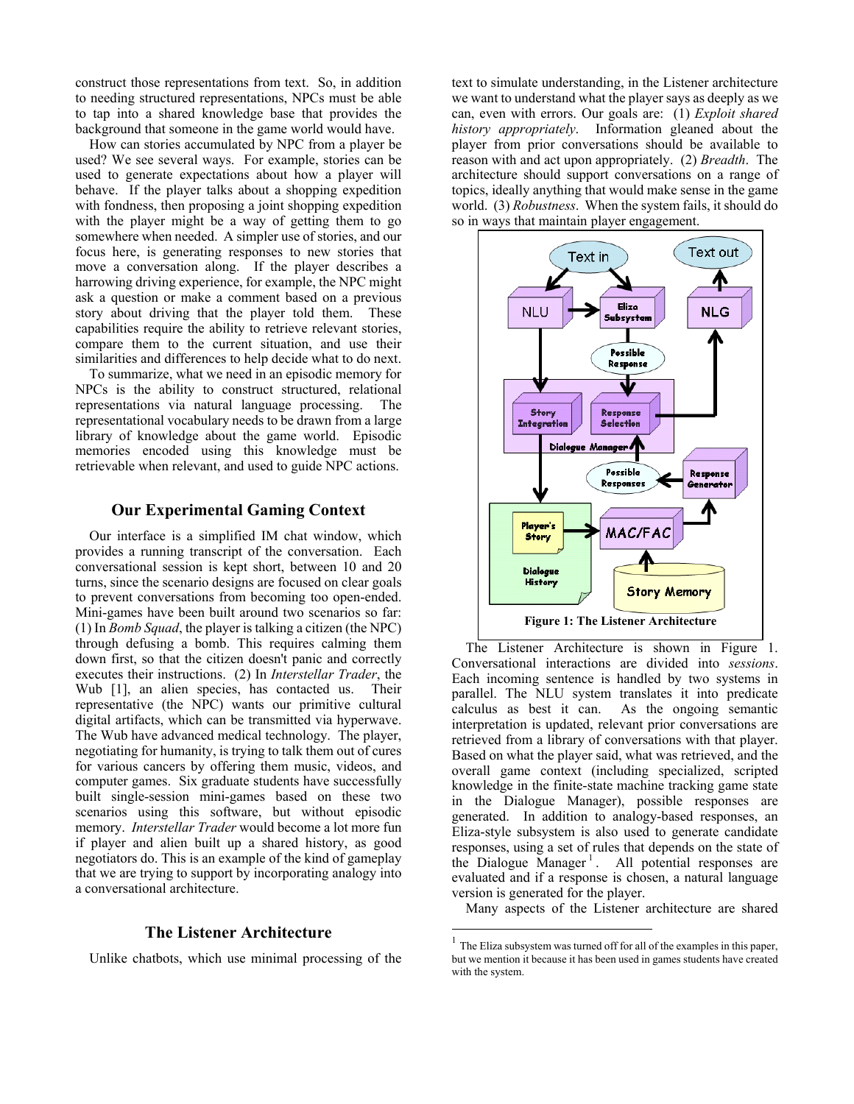construct those representations from text. So, in addition to needing structured representations, NPCs must be able to tap into a shared knowledge base that provides the background that someone in the game world would have.

How can stories accumulated by NPC from a player be used? We see several ways. For example, stories can be used to generate expectations about how a player will behave. If the player talks about a shopping expedition with fondness, then proposing a joint shopping expedition with the player might be a way of getting them to go somewhere when needed. A simpler use of stories, and our focus here, is generating responses to new stories that move a conversation along. If the player describes a harrowing driving experience, for example, the NPC might ask a question or make a comment based on a previous story about driving that the player told them. These capabilities require the ability to retrieve relevant stories, compare them to the current situation, and use their similarities and differences to help decide what to do next.

To summarize, what we need in an episodic memory for NPCs is the ability to construct structured, relational representations via natural language processing. The representational vocabulary needs to be drawn from a large library of knowledge about the game world. Episodic memories encoded using this knowledge must be retrievable when relevant, and used to guide NPC actions.

## **Our Experimental Gaming Context**

Our interface is a simplified IM chat window, which provides a running transcript of the conversation. Each conversational session is kept short, between 10 and 20 turns, since the scenario designs are focused on clear goals to prevent conversations from becoming too open-ended. Mini-games have been built around two scenarios so far: (1) In *Bomb Squad*, the player is talking a citizen (the NPC) through defusing a bomb. This requires calming them down first, so that the citizen doesn't panic and correctly executes their instructions. (2) In *Interstellar Trader*, the Wub [1], an alien species, has contacted us. Their representative (the NPC) wants our primitive cultural digital artifacts, which can be transmitted via hyperwave. The Wub have advanced medical technology. The player, negotiating for humanity, is trying to talk them out of cures for various cancers by offering them music, videos, and computer games. Six graduate students have successfully built single-session mini-games based on these two scenarios using this software, but without episodic memory. *Interstellar Trader* would become a lot more fun if player and alien built up a shared history, as good negotiators do. This is an example of the kind of gameplay that we are trying to support by incorporating analogy into a conversational architecture.

#### **The Listener Architecture**

Unlike chatbots, which use minimal processing of the

text to simulate understanding, in the Listener architecture we want to understand what the player says as deeply as we can, even with errors. Our goals are: (1) *Exploit shared history appropriately*. Information gleaned about the player from prior conversations should be available to reason with and act upon appropriately. (2) *Breadth*. The architecture should support conversations on a range of topics, ideally anything that would make sense in the game world. (3) *Robustness*. When the system fails, it should do so in ways that maintain player engagement.



The Listener Architecture is shown in Figure 1. Conversational interactions are divided into *sessions*. Each incoming sentence is handled by two systems in parallel. The NLU system translates it into predicate calculus as best it can. As the ongoing semantic interpretation is updated, relevant prior conversations are retrieved from a library of conversations with that player. Based on what the player said, what was retrieved, and the overall game context (including specialized, scripted knowledge in the finite-state machine tracking game state in the Dialogue Manager), possible responses are generated. In addition to analogy-based responses, an Eliza-style subsystem is also used to generate candidate responses, using a set of rules that depends on the state of the Dialogue Manager<sup>1</sup>. All potential responses are evaluated and if a response is chosen, a natural language version is generated for the player.

Many aspects of the Listener architecture are shared

 $\overline{a}$ 

<sup>&</sup>lt;sup>1</sup> The Eliza subsystem was turned off for all of the examples in this paper, but we mention it because it has been used in games students have created with the system.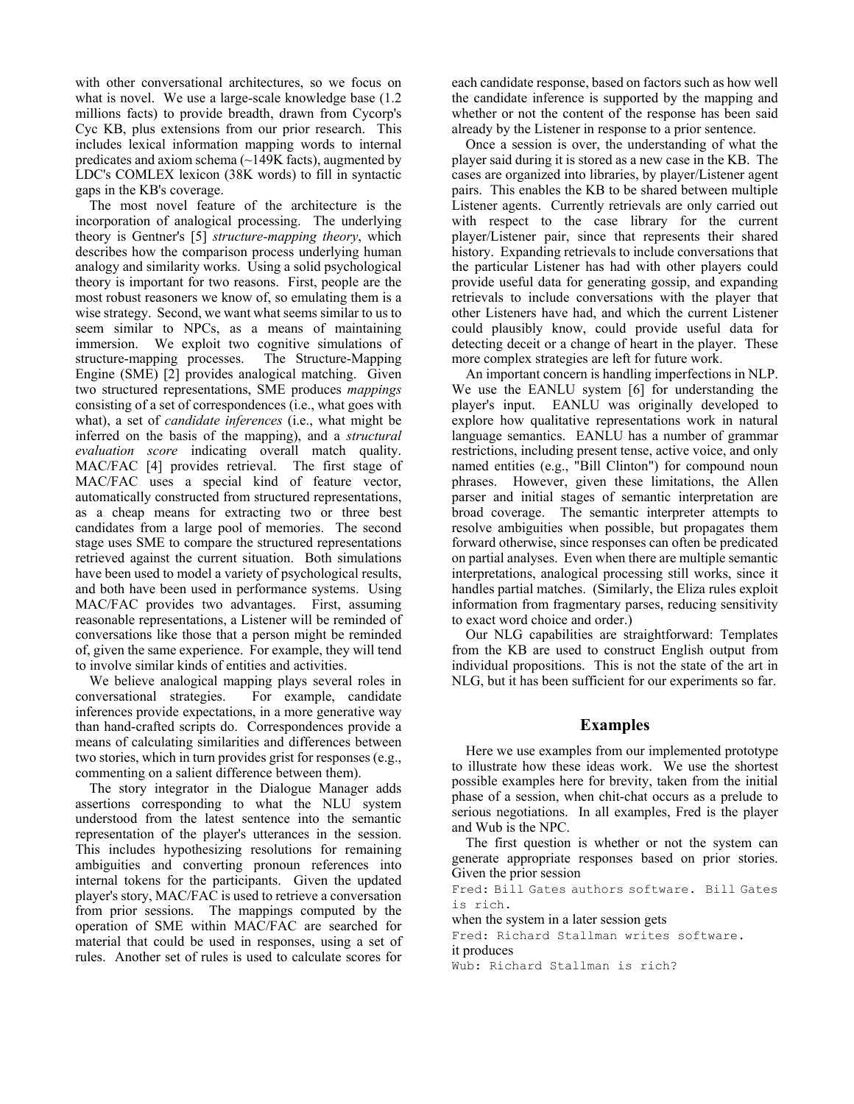with other conversational architectures, so we focus on what is novel. We use a large-scale knowledge base  $(1.2)$ millions facts) to provide breadth, drawn from Cycorp's Cyc KB, plus extensions from our prior research. This includes lexical information mapping words to internal predicates and axiom schema  $(\sim)$ 149K facts), augmented by LDC's COMLEX lexicon (38K words) to fill in syntactic gaps in the KB's coverage.

The most novel feature of the architecture is the incorporation of analogical processing. The underlying theory is Gentner's [5] *structure-mapping theory*, which describes how the comparison process underlying human analogy and similarity works. Using a solid psychological theory is important for two reasons. First, people are the most robust reasoners we know of, so emulating them is a wise strategy. Second, we want what seems similar to us to seem similar to NPCs, as a means of maintaining immersion. We exploit two cognitive simulations of structure-mapping processes. The Structure-Mapping Engine (SME) [2] provides analogical matching. Given two structured representations, SME produces *mappings* consisting of a set of correspondences (i.e., what goes with what), a set of *candidate inferences* (i.e., what might be inferred on the basis of the mapping), and a *structural evaluation score* indicating overall match quality. MAC/FAC [4] provides retrieval. The first stage of MAC/FAC uses a special kind of feature vector, automatically constructed from structured representations, as a cheap means for extracting two or three best candidates from a large pool of memories. The second stage uses SME to compare the structured representations retrieved against the current situation. Both simulations have been used to model a variety of psychological results, and both have been used in performance systems. Using MAC/FAC provides two advantages. First, assuming reasonable representations, a Listener will be reminded of conversations like those that a person might be reminded of, given the same experience. For example, they will tend to involve similar kinds of entities and activities.

We believe analogical mapping plays several roles in conversational strategies. For example, candidate inferences provide expectations, in a more generative way than hand-crafted scripts do. Correspondences provide a means of calculating similarities and differences between two stories, which in turn provides grist for responses (e.g., commenting on a salient difference between them).

The story integrator in the Dialogue Manager adds assertions corresponding to what the NLU system understood from the latest sentence into the semantic representation of the player's utterances in the session. This includes hypothesizing resolutions for remaining ambiguities and converting pronoun references into internal tokens for the participants. Given the updated player's story, MAC/FAC is used to retrieve a conversation from prior sessions. The mappings computed by the operation of SME within MAC/FAC are searched for material that could be used in responses, using a set of rules. Another set of rules is used to calculate scores for

each candidate response, based on factors such as how well the candidate inference is supported by the mapping and whether or not the content of the response has been said already by the Listener in response to a prior sentence.

Once a session is over, the understanding of what the player said during it is stored as a new case in the KB. The cases are organized into libraries, by player/Listener agent pairs. This enables the KB to be shared between multiple Listener agents. Currently retrievals are only carried out with respect to the case library for the current player/Listener pair, since that represents their shared history. Expanding retrievals to include conversations that the particular Listener has had with other players could provide useful data for generating gossip, and expanding retrievals to include conversations with the player that other Listeners have had, and which the current Listener could plausibly know, could provide useful data for detecting deceit or a change of heart in the player. These more complex strategies are left for future work.

An important concern is handling imperfections in NLP. We use the EANLU system [6] for understanding the player's input. EANLU was originally developed to explore how qualitative representations work in natural language semantics. EANLU has a number of grammar restrictions, including present tense, active voice, and only named entities (e.g., "Bill Clinton") for compound noun phrases. However, given these limitations, the Allen parser and initial stages of semantic interpretation are broad coverage. The semantic interpreter attempts to resolve ambiguities when possible, but propagates them forward otherwise, since responses can often be predicated on partial analyses. Even when there are multiple semantic interpretations, analogical processing still works, since it handles partial matches. (Similarly, the Eliza rules exploit information from fragmentary parses, reducing sensitivity to exact word choice and order.)

Our NLG capabilities are straightforward: Templates from the KB are used to construct English output from individual propositions. This is not the state of the art in NLG, but it has been sufficient for our experiments so far.

## **Examples**

Here we use examples from our implemented prototype to illustrate how these ideas work. We use the shortest possible examples here for brevity, taken from the initial phase of a session, when chit-chat occurs as a prelude to serious negotiations. In all examples, Fred is the player and Wub is the NPC.

The first question is whether or not the system can generate appropriate responses based on prior stories. Given the prior session

Fred: Bill Gates authors software. Bill Gates is rich.

when the system in a later session gets Fred: Richard Stallman writes software. it produces Wub: Richard Stallman is rich?